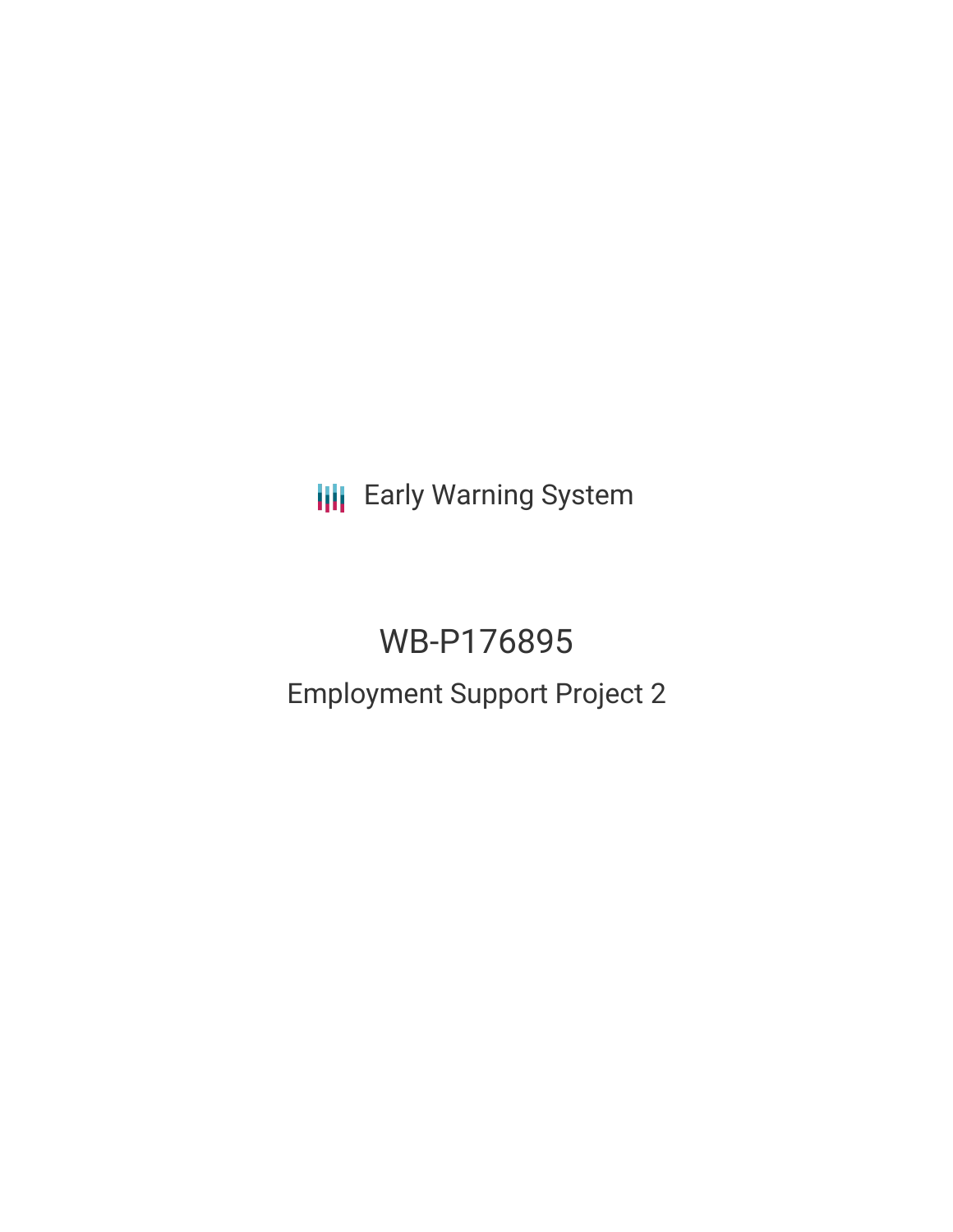**III** Early Warning System

# WB-P176895

# Employment Support Project 2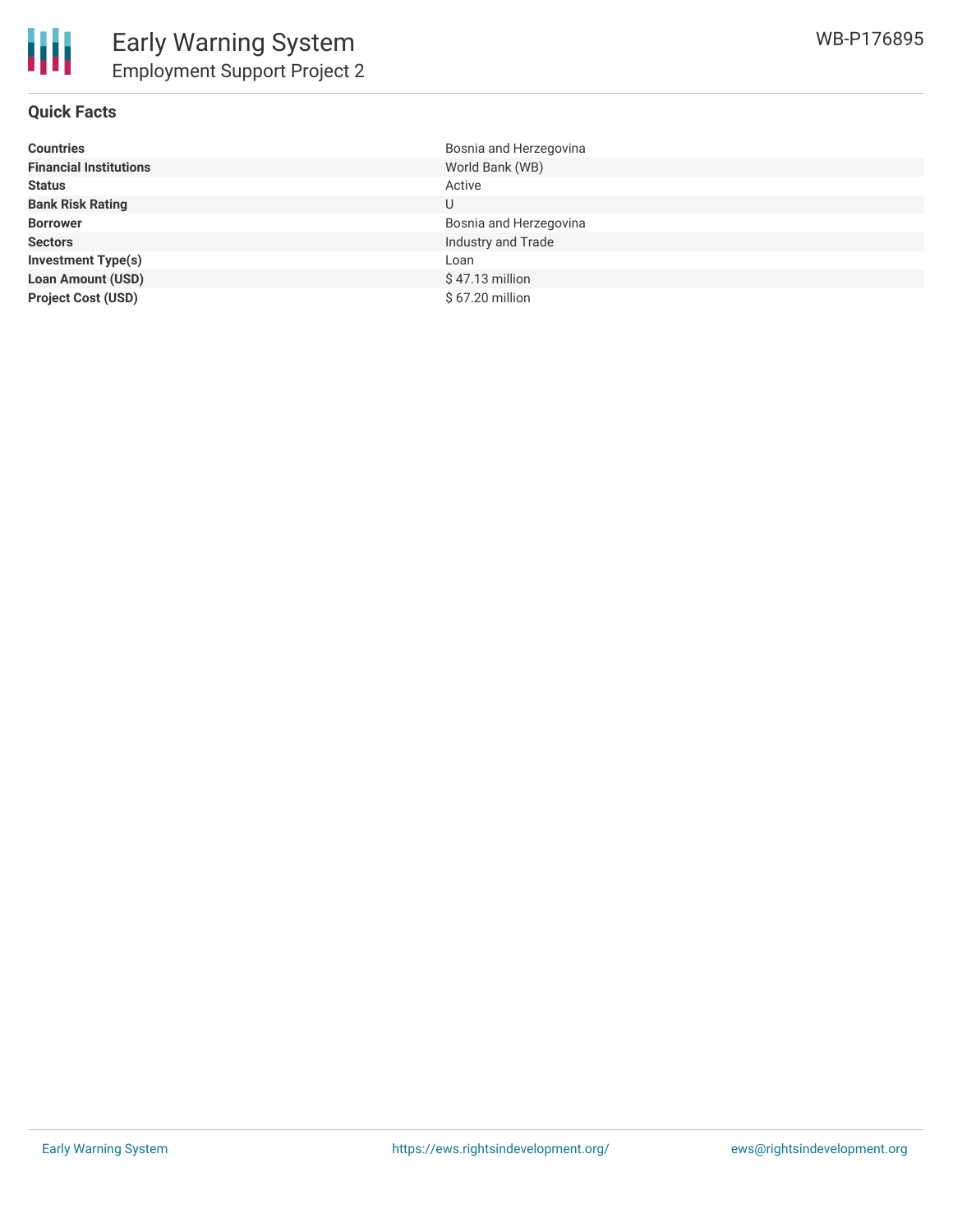

#### **Quick Facts**

| <b>Countries</b>              | Bosnia and Herzegovina |
|-------------------------------|------------------------|
| <b>Financial Institutions</b> | World Bank (WB)        |
| <b>Status</b>                 | Active                 |
| <b>Bank Risk Rating</b>       | U                      |
| <b>Borrower</b>               | Bosnia and Herzegovina |
| <b>Sectors</b>                | Industry and Trade     |
| <b>Investment Type(s)</b>     | Loan                   |
| <b>Loan Amount (USD)</b>      | $$47.13$ million       |
| <b>Project Cost (USD)</b>     | \$67.20 million        |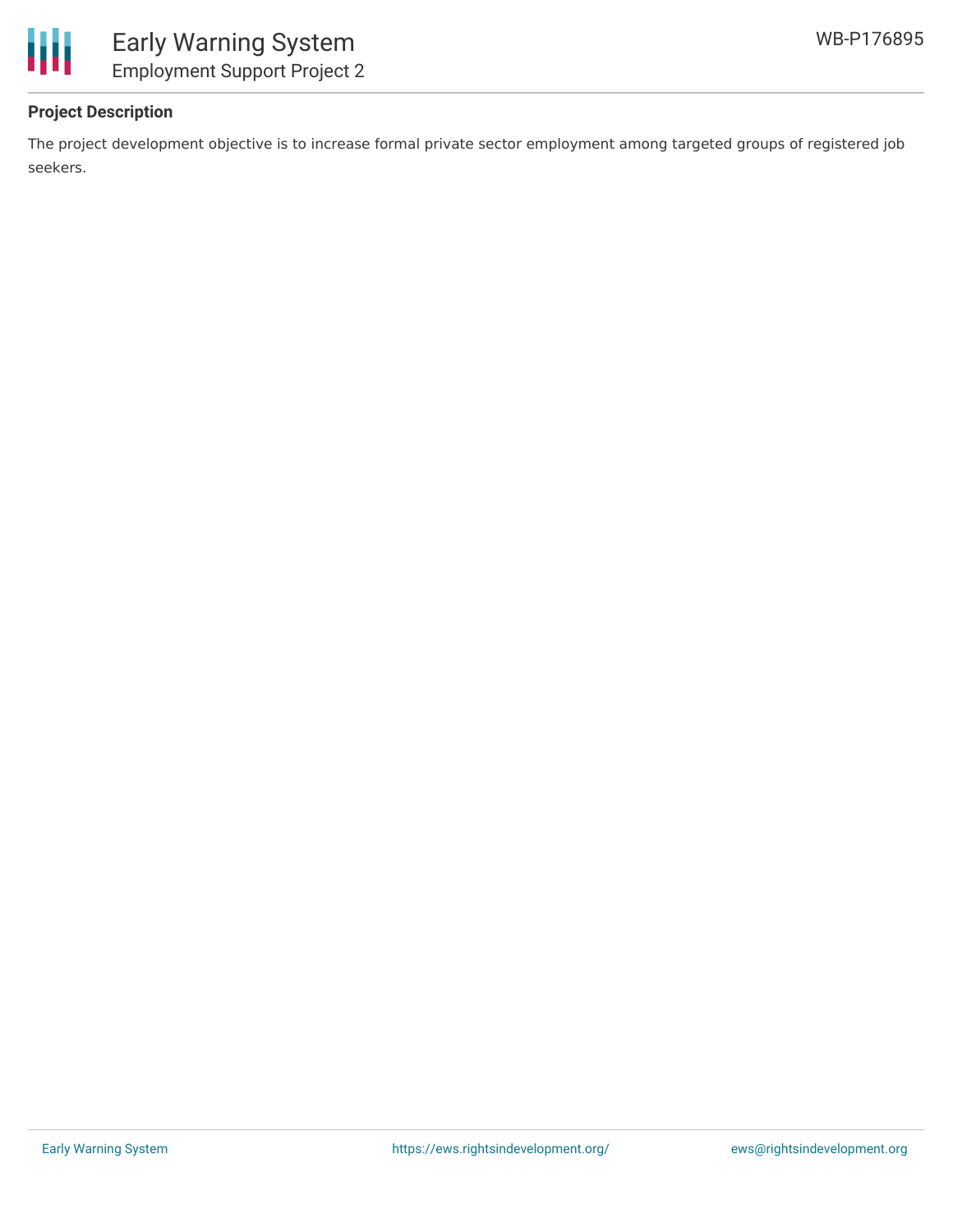

## **Project Description**

The project development objective is to increase formal private sector employment among targeted groups of registered job seekers.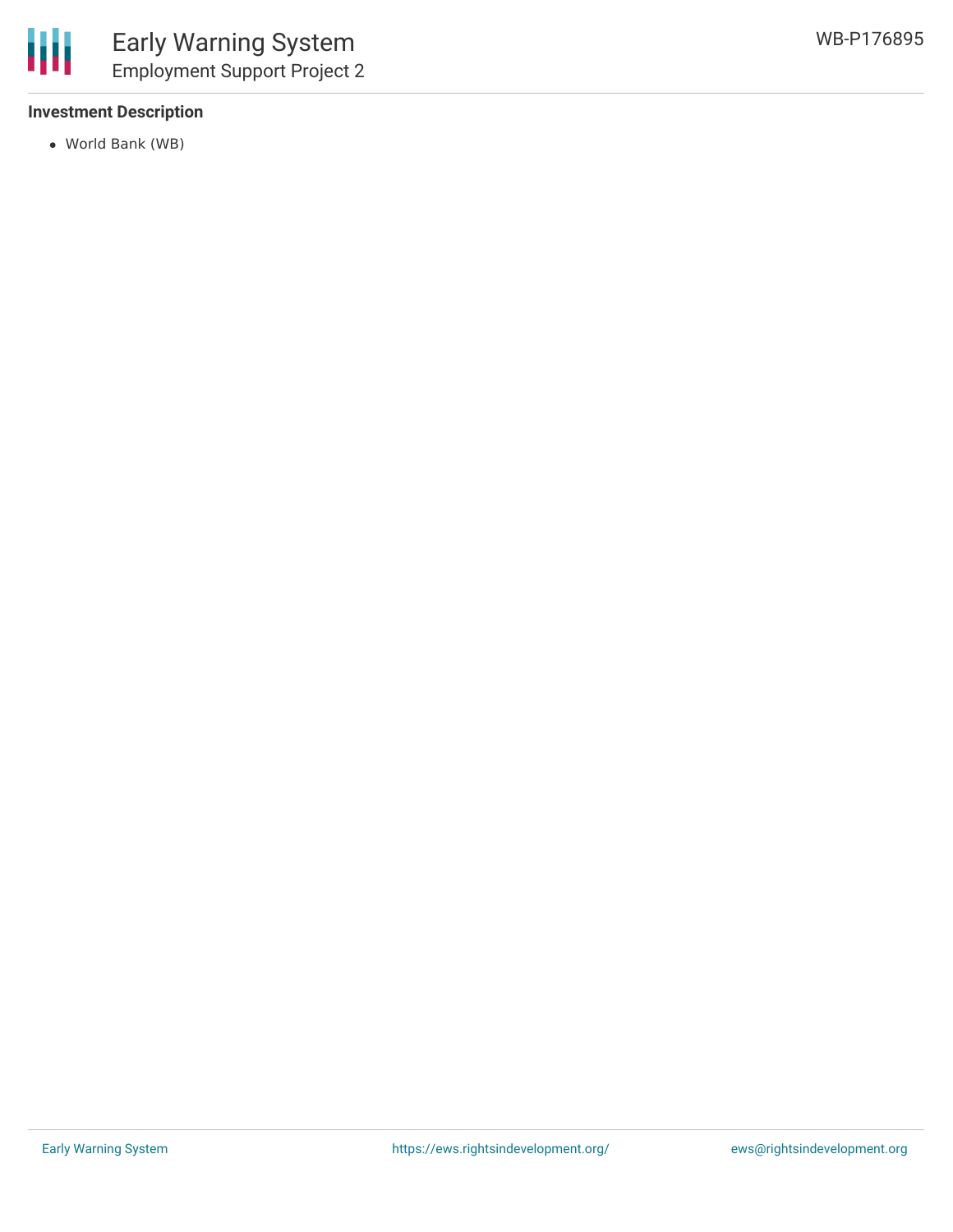#### **Investment Description**

World Bank (WB)